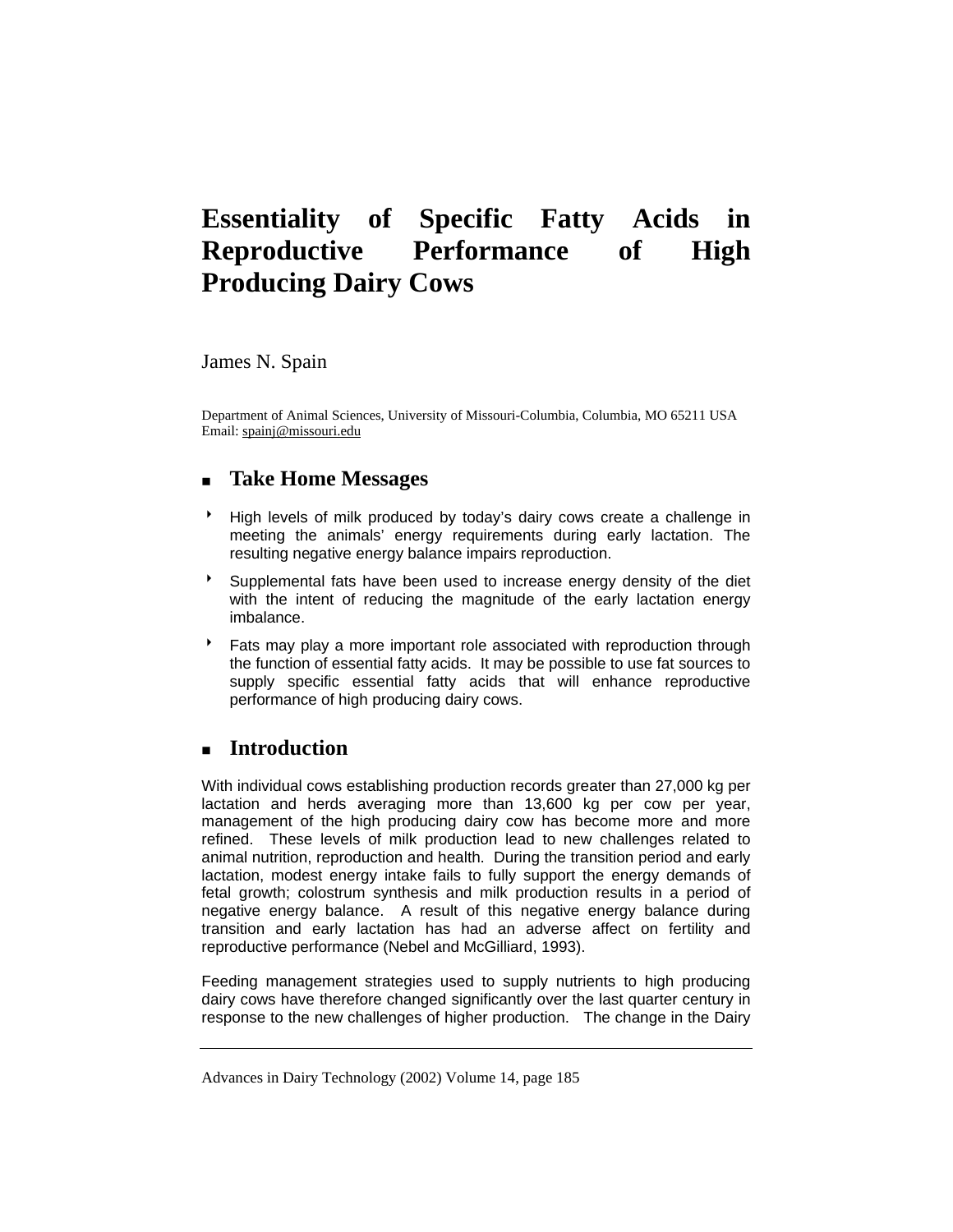# **Essentiality of Specific Fatty Acids in Reproductive Performance of High Producing Dairy Cows**

James N. Spain

Department of Animal Sciences, University of Missouri-Columbia, Columbia, MO 65211 USA Email: spainj@missouri.edu

### **Take Home Messages**

- 8 High levels of milk produced by today's dairy cows create a challenge in meeting the animals' energy requirements during early lactation. The resulting negative energy balance impairs reproduction.
- **Supplemental fats have been used to increase energy density of the diet** with the intent of reducing the magnitude of the early lactation energy imbalance.
- Fats may play a more important role associated with reproduction through the function of essential fatty acids. It may be possible to use fat sources to supply specific essential fatty acids that will enhance reproductive performance of high producing dairy cows.

## **Introduction**

With individual cows establishing production records greater than 27,000 kg per lactation and herds averaging more than 13,600 kg per cow per year, management of the high producing dairy cow has become more and more refined. These levels of milk production lead to new challenges related to animal nutrition, reproduction and health. During the transition period and early lactation, modest energy intake fails to fully support the energy demands of fetal growth; colostrum synthesis and milk production results in a period of negative energy balance. A result of this negative energy balance during transition and early lactation has had an adverse affect on fertility and reproductive performance (Nebel and McGilliard, 1993).

Feeding management strategies used to supply nutrients to high producing dairy cows have therefore changed significantly over the last quarter century in response to the new challenges of higher production. The change in the Dairy

Advances in Dairy Technology (2002) Volume 14, page 185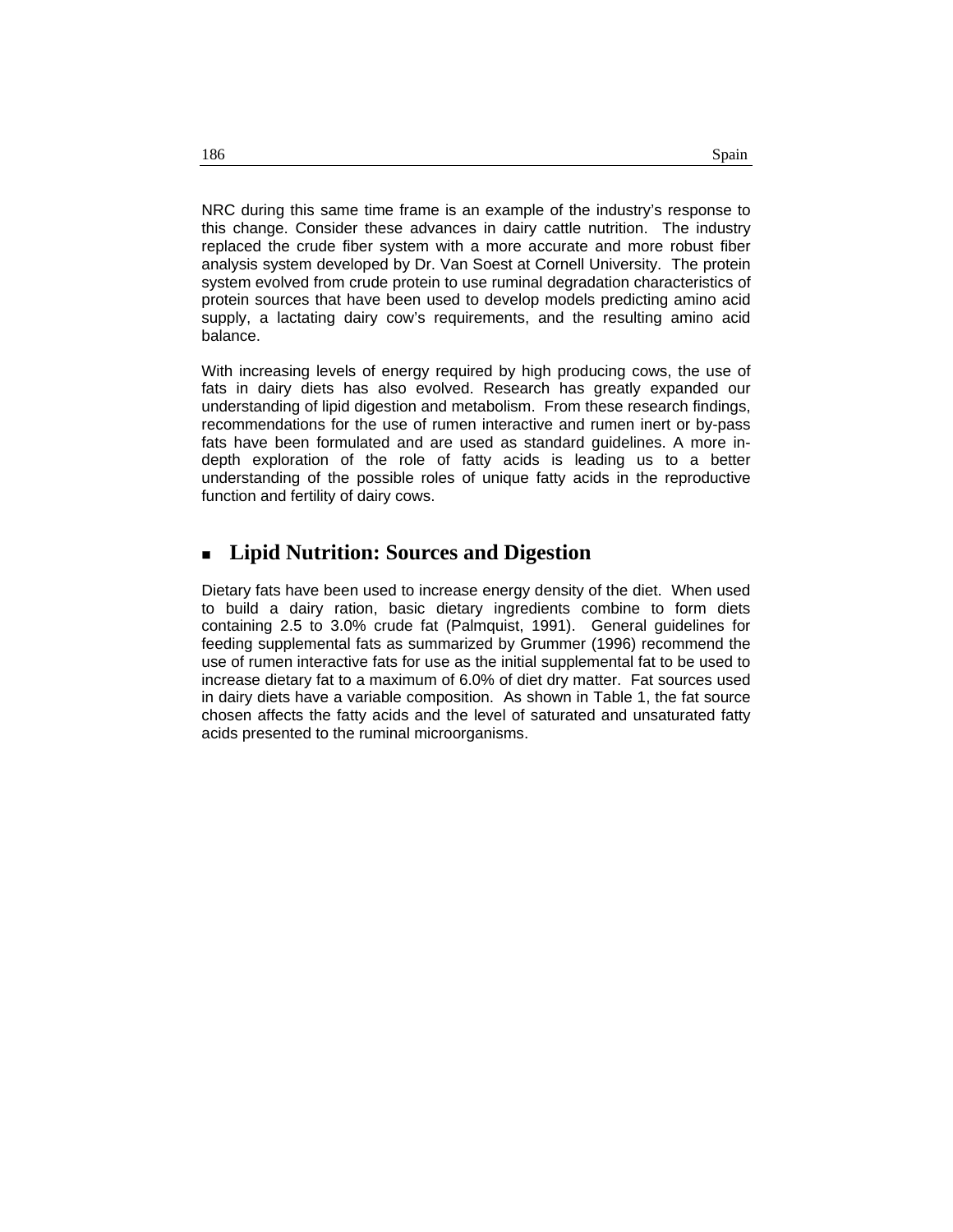NRC during this same time frame is an example of the industry's response to this change. Consider these advances in dairy cattle nutrition. The industry replaced the crude fiber system with a more accurate and more robust fiber analysis system developed by Dr. Van Soest at Cornell University. The protein system evolved from crude protein to use ruminal degradation characteristics of protein sources that have been used to develop models predicting amino acid supply, a lactating dairy cow's requirements, and the resulting amino acid balance.

With increasing levels of energy required by high producing cows, the use of fats in dairy diets has also evolved. Research has greatly expanded our understanding of lipid digestion and metabolism. From these research findings, recommendations for the use of rumen interactive and rumen inert or by-pass fats have been formulated and are used as standard guidelines. A more indepth exploration of the role of fatty acids is leading us to a better understanding of the possible roles of unique fatty acids in the reproductive function and fertility of dairy cows.

#### **Lipid Nutrition: Sources and Digestion**

Dietary fats have been used to increase energy density of the diet. When used to build a dairy ration, basic dietary ingredients combine to form diets containing 2.5 to 3.0% crude fat (Palmquist, 1991). General guidelines for feeding supplemental fats as summarized by Grummer (1996) recommend the use of rumen interactive fats for use as the initial supplemental fat to be used to increase dietary fat to a maximum of 6.0% of diet dry matter. Fat sources used in dairy diets have a variable composition. As shown in Table 1, the fat source chosen affects the fatty acids and the level of saturated and unsaturated fatty acids presented to the ruminal microorganisms.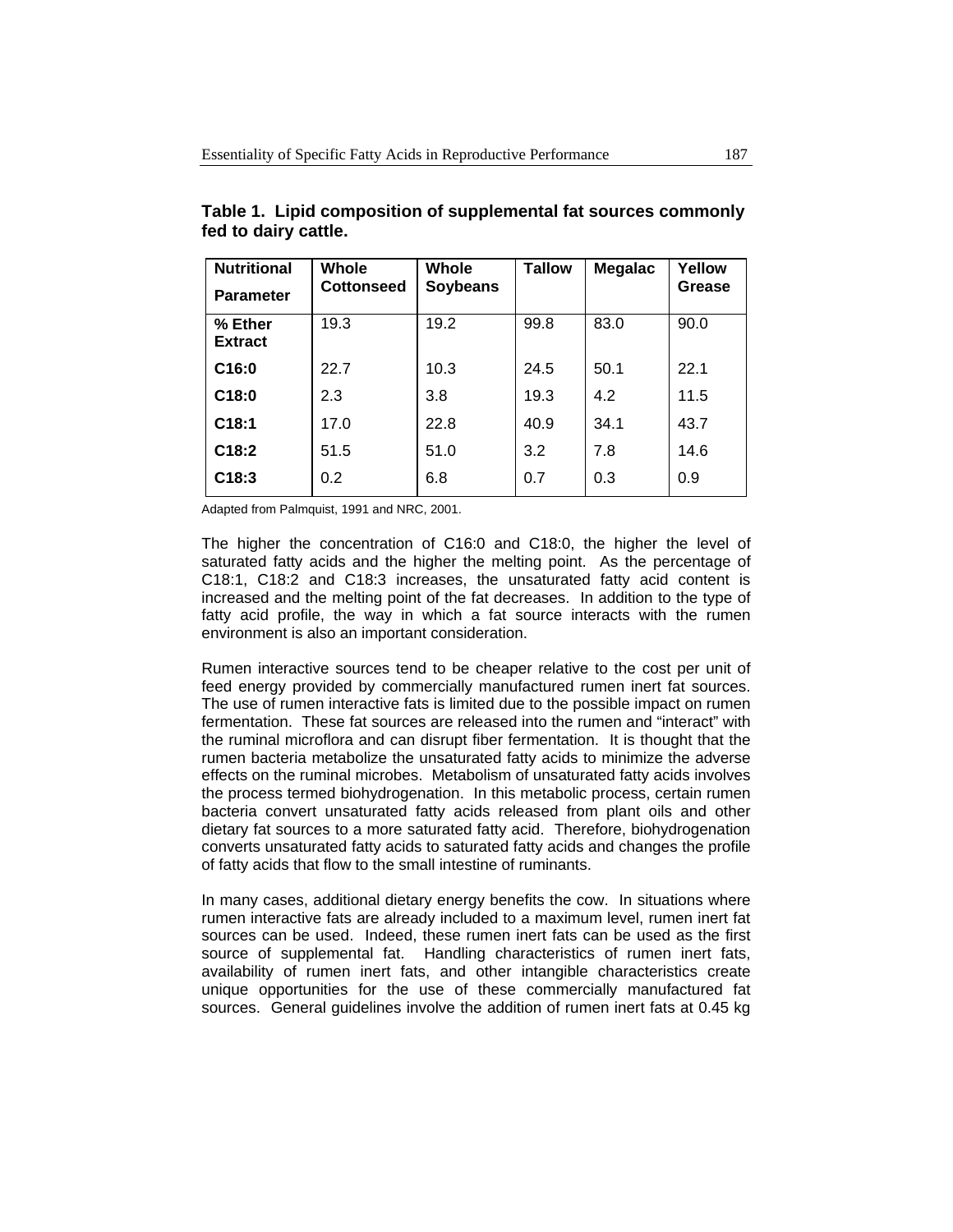| <b>Nutritional</b><br><b>Parameter</b> | Whole<br><b>Cottonseed</b> | Whole<br><b>Soybeans</b> | <b>Tallow</b> | <b>Megalac</b> | Yellow<br>Grease |
|----------------------------------------|----------------------------|--------------------------|---------------|----------------|------------------|
| % Ether<br><b>Extract</b>              | 19.3                       | 19.2                     | 99.8          | 83.0           | 90.0             |
| C16:0                                  | 22.7                       | 10.3                     | 24.5          | 50.1           | 22.1             |
| C18:0                                  | 2.3                        | 3.8                      | 19.3          | 4.2            | 11.5             |
| C18:1                                  | 17.0                       | 22.8                     | 40.9          | 34.1           | 43.7             |
| C18:2                                  | 51.5                       | 51.0                     | 3.2           | 7.8            | 14.6             |
| C18:3                                  | 0.2                        | 6.8                      | 0.7           | 0.3            | 0.9              |

**Table 1. Lipid composition of supplemental fat sources commonly fed to dairy cattle.** 

Adapted from Palmquist, 1991 and NRC, 2001.

The higher the concentration of C16:0 and C18:0, the higher the level of saturated fatty acids and the higher the melting point. As the percentage of C18:1, C18:2 and C18:3 increases, the unsaturated fatty acid content is increased and the melting point of the fat decreases. In addition to the type of fatty acid profile, the way in which a fat source interacts with the rumen environment is also an important consideration.

Rumen interactive sources tend to be cheaper relative to the cost per unit of feed energy provided by commercially manufactured rumen inert fat sources. The use of rumen interactive fats is limited due to the possible impact on rumen fermentation. These fat sources are released into the rumen and "interact" with the ruminal microflora and can disrupt fiber fermentation. It is thought that the rumen bacteria metabolize the unsaturated fatty acids to minimize the adverse effects on the ruminal microbes. Metabolism of unsaturated fatty acids involves the process termed biohydrogenation. In this metabolic process, certain rumen bacteria convert unsaturated fatty acids released from plant oils and other dietary fat sources to a more saturated fatty acid. Therefore, biohydrogenation converts unsaturated fatty acids to saturated fatty acids and changes the profile of fatty acids that flow to the small intestine of ruminants.

In many cases, additional dietary energy benefits the cow. In situations where rumen interactive fats are already included to a maximum level, rumen inert fat sources can be used. Indeed, these rumen inert fats can be used as the first source of supplemental fat. Handling characteristics of rumen inert fats, availability of rumen inert fats, and other intangible characteristics create unique opportunities for the use of these commercially manufactured fat sources. General guidelines involve the addition of rumen inert fats at 0.45 kg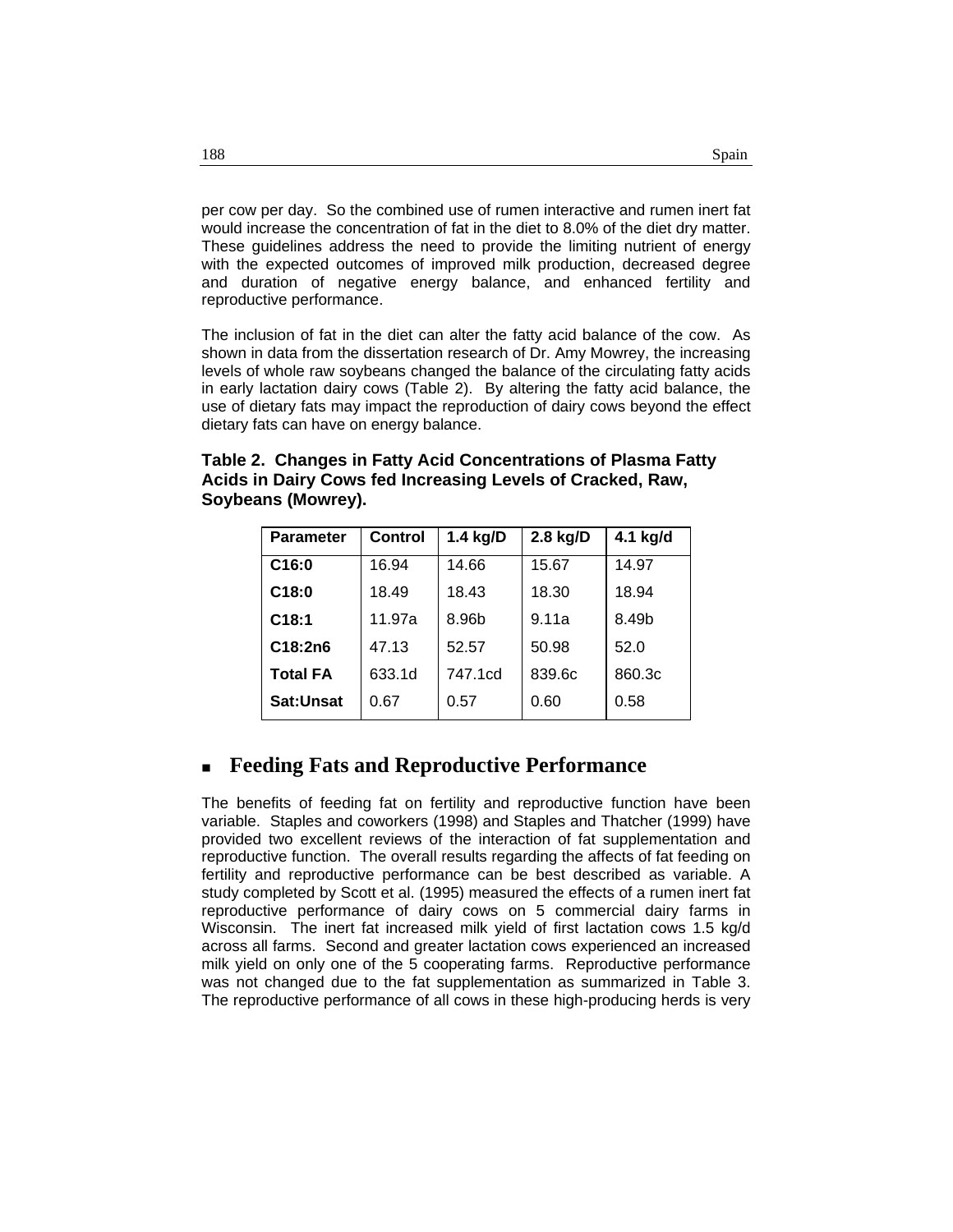per cow per day. So the combined use of rumen interactive and rumen inert fat would increase the concentration of fat in the diet to 8.0% of the diet dry matter. These guidelines address the need to provide the limiting nutrient of energy with the expected outcomes of improved milk production, decreased degree and duration of negative energy balance, and enhanced fertility and reproductive performance.

The inclusion of fat in the diet can alter the fatty acid balance of the cow. As shown in data from the dissertation research of Dr. Amy Mowrey, the increasing levels of whole raw soybeans changed the balance of the circulating fatty acids in early lactation dairy cows (Table 2). By altering the fatty acid balance, the use of dietary fats may impact the reproduction of dairy cows beyond the effect dietary fats can have on energy balance.

|                    | Table 2. Changes in Fatty Acid Concentrations of Plasma Fatty |
|--------------------|---------------------------------------------------------------|
|                    | Acids in Dairy Cows fed Increasing Levels of Cracked, Raw,    |
| Soybeans (Mowrey). |                                                               |

| <b>Parameter</b> | <b>Control</b> | 1.4 kg/D | 2.8 kg/D | 4.1 kg/d |
|------------------|----------------|----------|----------|----------|
| C16:0            | 16.94          | 14.66    | 15.67    | 14.97    |
| C18:0            | 18.49          | 18.43    | 18.30    | 18.94    |
| C18:1            | 11.97a         | 8.96b    | 9.11a    | 8.49b    |
| C18:2n6          | 47.13          | 52.57    | 50.98    | 52.0     |
| <b>Total FA</b>  | 633.1d         | 747.1cd  | 839.6c   | 860.3c   |
| <b>Sat:Unsat</b> | 0.67           | 0.57     | 0.60     | 0.58     |

#### **Feeding Fats and Reproductive Performance**

The benefits of feeding fat on fertility and reproductive function have been variable. Staples and coworkers (1998) and Staples and Thatcher (1999) have provided two excellent reviews of the interaction of fat supplementation and reproductive function. The overall results regarding the affects of fat feeding on fertility and reproductive performance can be best described as variable. A study completed by Scott et al. (1995) measured the effects of a rumen inert fat reproductive performance of dairy cows on 5 commercial dairy farms in Wisconsin. The inert fat increased milk yield of first lactation cows 1.5 kg/d across all farms. Second and greater lactation cows experienced an increased milk yield on only one of the 5 cooperating farms. Reproductive performance was not changed due to the fat supplementation as summarized in Table 3. The reproductive performance of all cows in these high-producing herds is very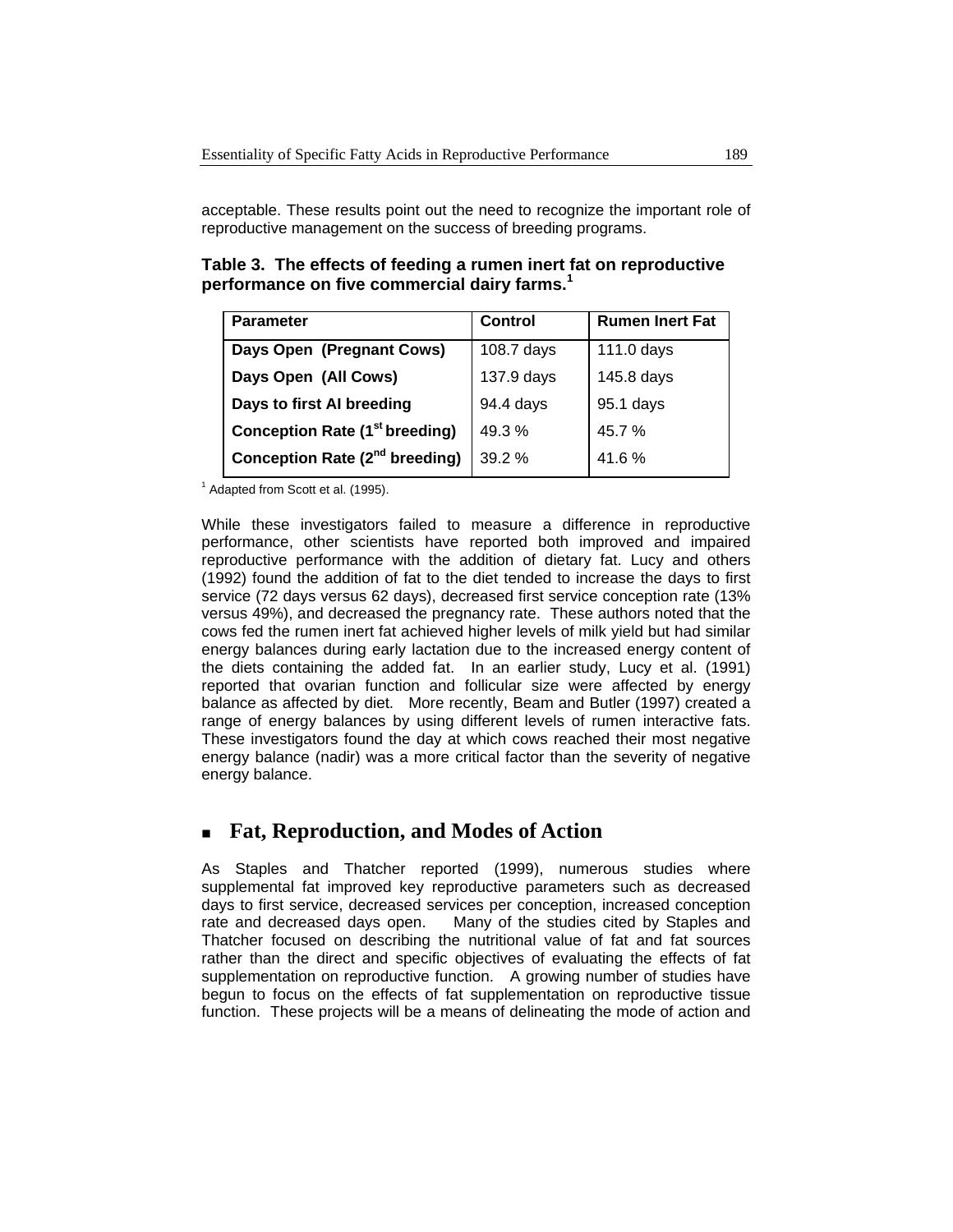acceptable. These results point out the need to recognize the important role of reproductive management on the success of breeding programs.

**Table 3. The effects of feeding a rumen inert fat on reproductive performance on five commercial dairy farms.1** 

| <b>Parameter</b>                           | <b>Control</b> | <b>Rumen Inert Fat</b> |  |
|--------------------------------------------|----------------|------------------------|--|
| Days Open (Pregnant Cows)                  | 108.7 days     | 111.0 days             |  |
| Days Open (All Cows)                       | 137.9 days     | 145.8 days             |  |
| Days to first AI breeding                  | 94.4 days      | 95.1 days              |  |
| <b>Conception Rate (1st breeding)</b>      | 49.3%          | 45.7%                  |  |
| Conception Rate (2 <sup>nd</sup> breeding) | 39.2%          | 41.6%                  |  |

 $<sup>1</sup>$  Adapted from Scott et al. (1995).</sup>

While these investigators failed to measure a difference in reproductive performance, other scientists have reported both improved and impaired reproductive performance with the addition of dietary fat. Lucy and others (1992) found the addition of fat to the diet tended to increase the days to first service (72 days versus 62 days), decreased first service conception rate (13% versus 49%), and decreased the pregnancy rate. These authors noted that the cows fed the rumen inert fat achieved higher levels of milk yield but had similar energy balances during early lactation due to the increased energy content of the diets containing the added fat. In an earlier study, Lucy et al. (1991) reported that ovarian function and follicular size were affected by energy balance as affected by diet. More recently, Beam and Butler (1997) created a range of energy balances by using different levels of rumen interactive fats. These investigators found the day at which cows reached their most negative energy balance (nadir) was a more critical factor than the severity of negative energy balance.

#### **Fat, Reproduction, and Modes of Action**

As Staples and Thatcher reported (1999), numerous studies where supplemental fat improved key reproductive parameters such as decreased days to first service, decreased services per conception, increased conception rate and decreased days open. Many of the studies cited by Staples and Thatcher focused on describing the nutritional value of fat and fat sources rather than the direct and specific objectives of evaluating the effects of fat supplementation on reproductive function. A growing number of studies have begun to focus on the effects of fat supplementation on reproductive tissue function. These projects will be a means of delineating the mode of action and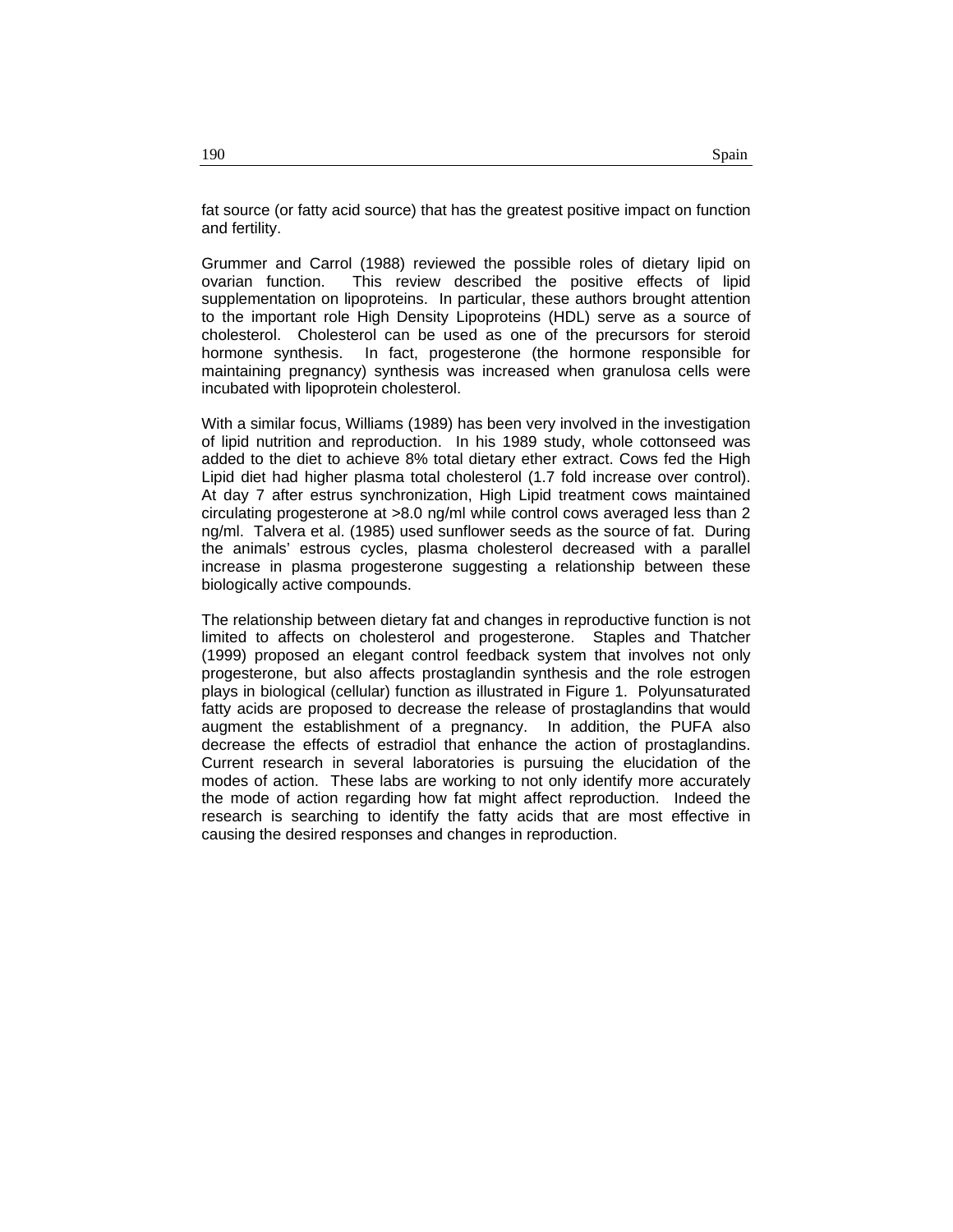fat source (or fatty acid source) that has the greatest positive impact on function and fertility.

Grummer and Carrol (1988) reviewed the possible roles of dietary lipid on ovarian function. This review described the positive effects of lipid supplementation on lipoproteins. In particular, these authors brought attention to the important role High Density Lipoproteins (HDL) serve as a source of cholesterol. Cholesterol can be used as one of the precursors for steroid hormone synthesis. In fact, progesterone (the hormone responsible for maintaining pregnancy) synthesis was increased when granulosa cells were incubated with lipoprotein cholesterol.

With a similar focus, Williams (1989) has been very involved in the investigation of lipid nutrition and reproduction. In his 1989 study, whole cottonseed was added to the diet to achieve 8% total dietary ether extract. Cows fed the High Lipid diet had higher plasma total cholesterol (1.7 fold increase over control). At day 7 after estrus synchronization, High Lipid treatment cows maintained circulating progesterone at >8.0 ng/ml while control cows averaged less than 2 ng/ml. Talvera et al. (1985) used sunflower seeds as the source of fat. During the animals' estrous cycles, plasma cholesterol decreased with a parallel increase in plasma progesterone suggesting a relationship between these biologically active compounds.

The relationship between dietary fat and changes in reproductive function is not limited to affects on cholesterol and progesterone. Staples and Thatcher (1999) proposed an elegant control feedback system that involves not only progesterone, but also affects prostaglandin synthesis and the role estrogen plays in biological (cellular) function as illustrated in Figure 1. Polyunsaturated fatty acids are proposed to decrease the release of prostaglandins that would augment the establishment of a pregnancy. In addition, the PUFA also decrease the effects of estradiol that enhance the action of prostaglandins. Current research in several laboratories is pursuing the elucidation of the modes of action. These labs are working to not only identify more accurately the mode of action regarding how fat might affect reproduction. Indeed the research is searching to identify the fatty acids that are most effective in causing the desired responses and changes in reproduction.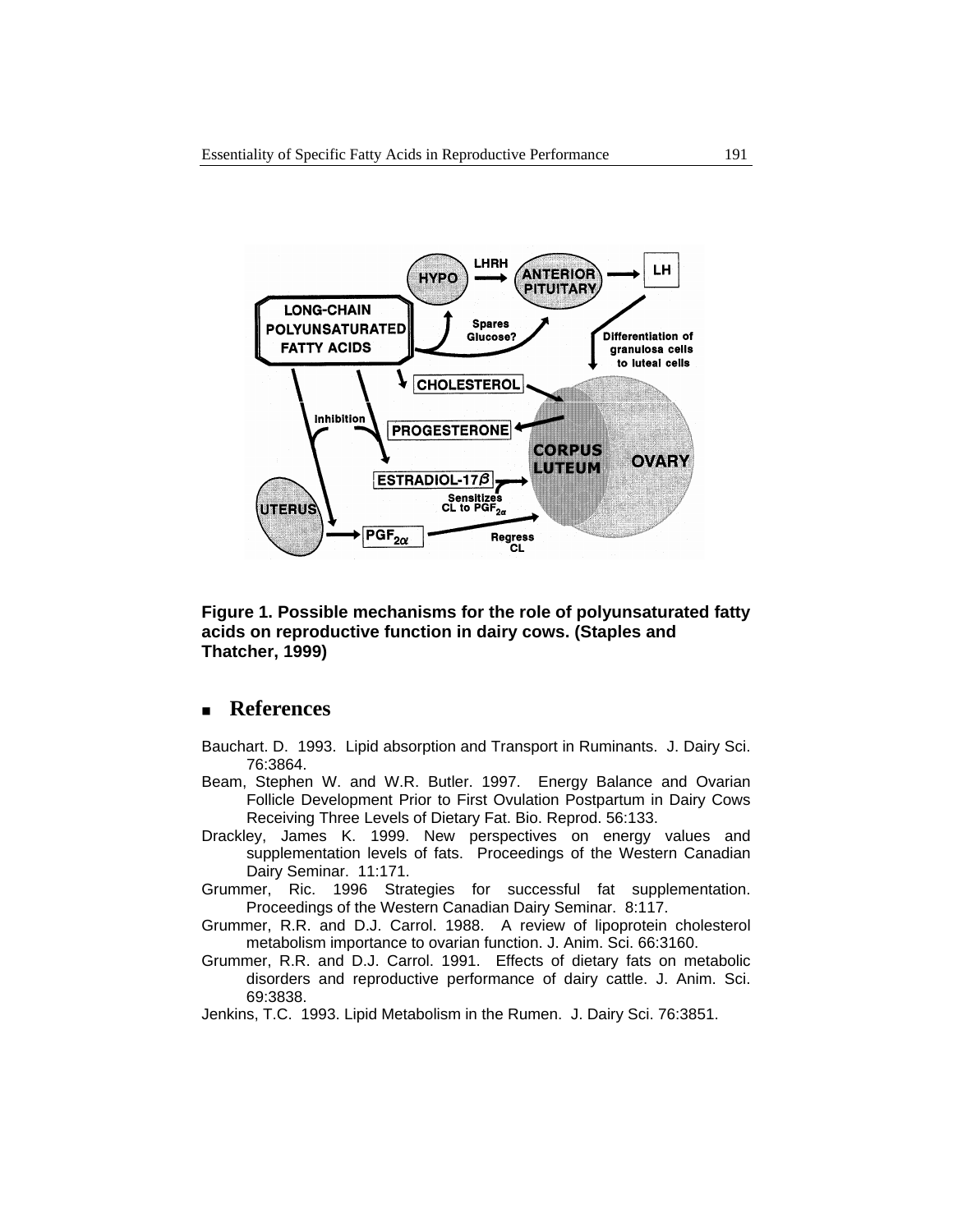

**Figure 1. Possible mechanisms for the role of polyunsaturated fatty acids on reproductive function in dairy cows. (Staples and Thatcher, 1999)** 

#### **References**

- Bauchart. D. 1993. Lipid absorption and Transport in Ruminants. J. Dairy Sci. 76:3864.
- Beam, Stephen W. and W.R. Butler. 1997. Energy Balance and Ovarian Follicle Development Prior to First Ovulation Postpartum in Dairy Cows Receiving Three Levels of Dietary Fat. Bio. Reprod. 56:133.
- Drackley, James K. 1999. New perspectives on energy values and supplementation levels of fats. Proceedings of the Western Canadian Dairy Seminar. 11:171.
- Grummer, Ric. 1996 Strategies for successful fat supplementation. Proceedings of the Western Canadian Dairy Seminar. 8:117.
- Grummer, R.R. and D.J. Carrol. 1988. A review of lipoprotein cholesterol metabolism importance to ovarian function. J. Anim. Sci. 66:3160.
- Grummer, R.R. and D.J. Carrol. 1991. Effects of dietary fats on metabolic disorders and reproductive performance of dairy cattle. J. Anim. Sci. 69:3838.
- Jenkins, T.C. 1993. Lipid Metabolism in the Rumen. J. Dairy Sci. 76:3851.